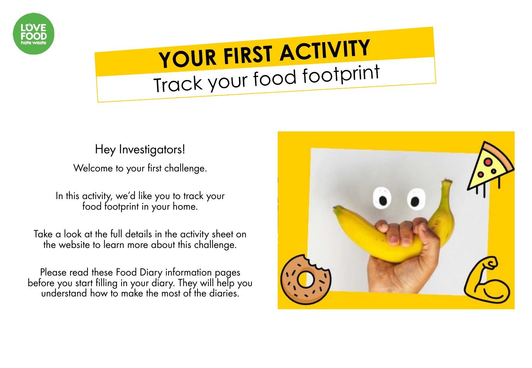

### YOUR FIRST ACTIVITY Track your food footprint

### Hey Investigators!

Welcome to your first challenge.

In this activity, we'd like you to track your food footprint in your home.

Take a look at the full details in the activity sheet on the website to learn more about this challenge.

Please read these Food Diary information pages before you start filling in your diary. They will help you understand how to make the most of the diaries.

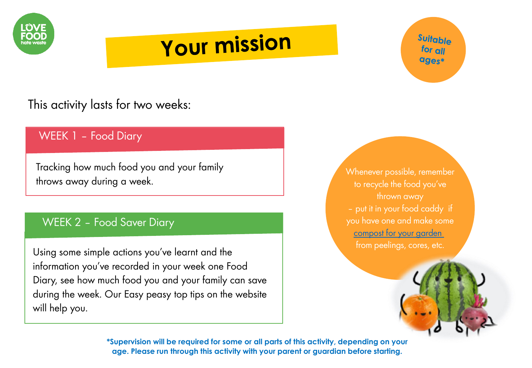

### **Your mission**

Suitable for all ages\*

### This activity lasts for two weeks:

### WEEK 1 – Food Diary

Tracking how much food you and your family throws away during a week.

#### WEEK 2 – Food Saver Diary

Using some simple actions you've learnt and the information you've recorded in your week one Food Diary, see how much food you and your family can save during the week. Our Easy peasy top tips on the website will help you.

Whenever possible, remember to recycle the food you've thrown away – put it in your food caddy if you have one and make some [compost for your garden](https://www.gardenersworld.com/plants/four-ways-to-better-compost/)  from peelings, cores, etc.

**\*Supervision will be required for some or all parts of this activity, depending on your age. Please run through this activity with your parent or guardian before starting.**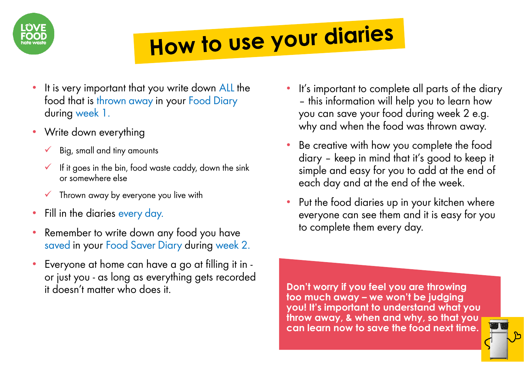

## How to use your diaries

- It is very important that you write down ALL the food that is thrown away in your Food Diary during week 1.
- Write down everything
	- $\checkmark$  Big, small and tiny amounts
	- $\checkmark$  If it goes in the bin, food waste caddy, down the sink or somewhere else
	- $\checkmark$  Thrown away by everyone you live with
- Fill in the diaries every day.
- Remember to write down any food you have saved in your Food Saver Diary during week 2.
- Everyone at home can have a go at filling it in or just you - as long as everything gets recorded it doesn't matter who does it.
- It's important to complete all parts of the diary – this information will help you to learn how you can save your food during week 2 e.g. why and when the food was thrown away.
- Be creative with how you complete the food diary – keep in mind that it's good to keep it simple and easy for you to add at the end of each day and at the end of the week.
- Put the food diaries up in your kitchen where everyone can see them and it is easy for you to complete them every day.

**Don't worry if you feel you are throwing too much away – we won't be judging you! It's important to understand what you throw away, & when and why, so that you can learn now to save the food next time.**

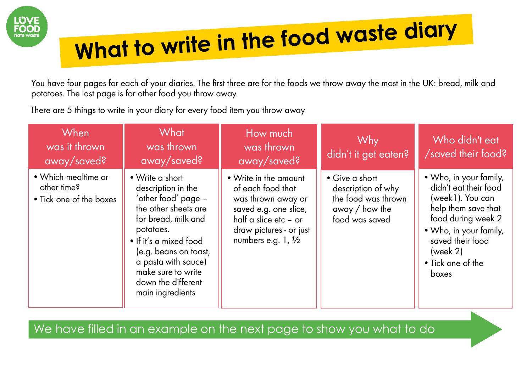

# What to write in the food waste diary

You have four pages for each of your diaries. The first three are for the foods we throw away the most in the UK: bread, milk and potatoes. The last page is for other food you throw away.

There are 5 things to write in your diary for every food item you throw away

| When<br>was it thrown<br>away/saved?                          | What<br>was thrown<br>away/saved?                                                                                                                                                                                                                                  | How much<br>was thrown<br>away/saved?                                                                                                                                  | Why<br>didn't it get eaten?                                                                       | Who didn't eat<br>/saved their food?                                                                                                                                                                     |
|---------------------------------------------------------------|--------------------------------------------------------------------------------------------------------------------------------------------------------------------------------------------------------------------------------------------------------------------|------------------------------------------------------------------------------------------------------------------------------------------------------------------------|---------------------------------------------------------------------------------------------------|----------------------------------------------------------------------------------------------------------------------------------------------------------------------------------------------------------|
| • Which mealtime or<br>other time?<br>• Tick one of the boxes | • Write a short<br>description in the<br>'other food' page -<br>the other sheets are<br>for bread, milk and<br>potatoes.<br>• If it's a mixed food<br>(e.g. beans on toast,<br>a pasta with sauce)<br>make sure to write<br>down the different<br>main ingredients | • Write in the amount<br>of each food that<br>was thrown away or<br>saved e.g. one slice,<br>half a slice etc - or<br>draw pictures - or just<br>numbers e.g. $1, 1/2$ | • Give a short<br>description of why<br>the food was thrown<br>away $/$ how the<br>food was saved | • Who, in your family,<br>didn't eat their food<br>(week1). You can<br>help them save that<br>food during week 2<br>• Who, in your family,<br>saved their food<br>(week 2)<br>• Tick one of the<br>boxes |

We have filled in an example on the next page to show you what to do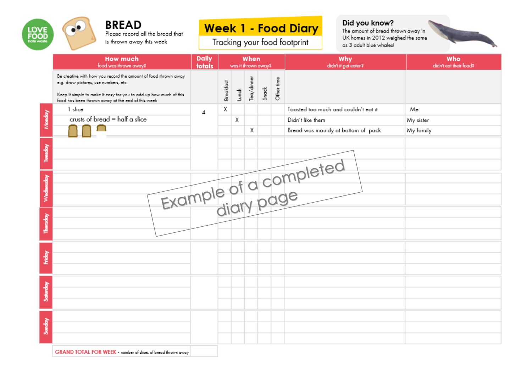

**BREAD** Please record all the bread that is thrown away this week

### **Week 1 - Food Diary**

Tracking your food footprint

#### Did you know?

The amount of bread thrown away in UK homes in 2012 weighed the same as 3 adult blue whales!



|              | <b>Daily</b><br><b>How much</b><br>food was thrown away?<br>totals                                                                                                                                                                |                | When<br>was it thrown away? |         |            | Why<br>didn't it get eaten? | Who<br>didn't eat their food? |                                      |           |
|--------------|-----------------------------------------------------------------------------------------------------------------------------------------------------------------------------------------------------------------------------------|----------------|-----------------------------|---------|------------|-----------------------------|-------------------------------|--------------------------------------|-----------|
|              | Be creative with how you record the amount of food thrown away<br>e.g. draw pictures, use numbers, etc.<br>Keep it simple to make it easy for you to add up how much of this<br>food has been thrown away at the end of this week |                | Breakfast                   | $Loneh$ | Tea/dinner | S <sub>not</sub>            | Other time                    |                                      |           |
|              | 1 slice                                                                                                                                                                                                                           | $\overline{A}$ | χ                           |         |            |                             |                               | Toasted too much and couldn't eat it | Me        |
| Monday       | crusts of bread - half a slice                                                                                                                                                                                                    |                |                             | χ       |            |                             |                               | Didn't like them                     | My sister |
|              |                                                                                                                                                                                                                                   |                |                             |         | χ          |                             |                               | Bread was mouldy at bottom of pack   | My family |
| Tuesday      |                                                                                                                                                                                                                                   |                |                             |         |            |                             |                               |                                      |           |
|              |                                                                                                                                                                                                                                   |                |                             |         |            |                             |                               |                                      |           |
| Wednesday    |                                                                                                                                                                                                                                   |                |                             |         |            |                             |                               | Example of a completed               |           |
| Thursday     |                                                                                                                                                                                                                                   |                |                             |         |            |                             |                               |                                      |           |
|              |                                                                                                                                                                                                                                   |                |                             |         |            |                             |                               |                                      |           |
| <b>Fiday</b> |                                                                                                                                                                                                                                   |                |                             |         |            |                             |                               |                                      |           |
| Saturday     |                                                                                                                                                                                                                                   |                |                             |         |            |                             |                               |                                      |           |
| Sunday       |                                                                                                                                                                                                                                   |                |                             |         |            |                             |                               |                                      |           |

GRAND TOTAL FOR WEEK - number of slices of bread thrown away